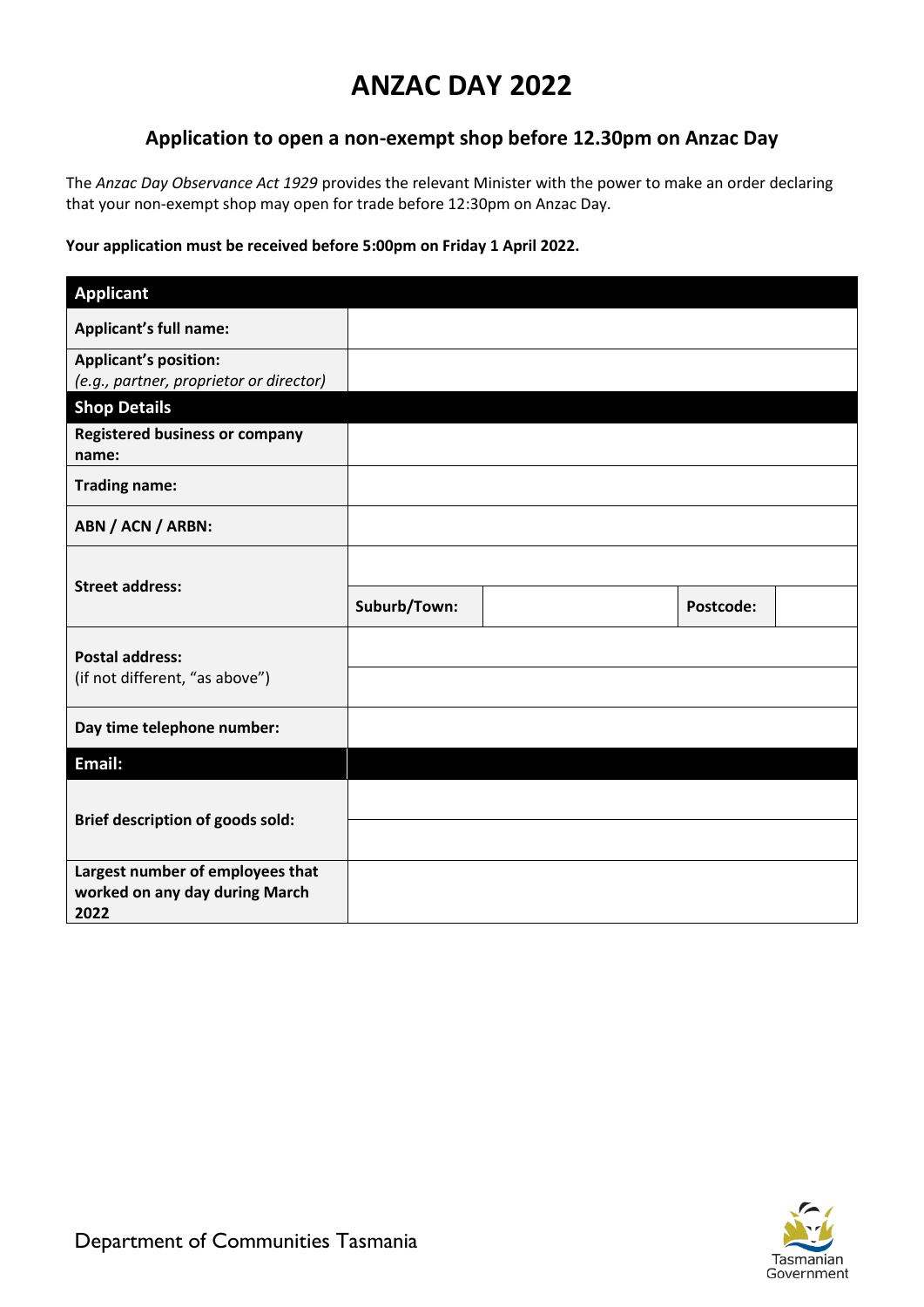## **ANZAC DAY 2022**

## **Application to open a non-exempt shop before 12.30pm on Anzac Day**

The *Anzac Day Observance Act 1929* provides the relevant Minister with the power to make an order declaring that your non-exempt shop may open for trade before 12:30pm on Anzac Day.

## **Your application must be received before 5:00pm on Friday 1 April 2022.**

| <b>Applicant</b>                                                           |              |           |  |
|----------------------------------------------------------------------------|--------------|-----------|--|
| <b>Applicant's full name:</b>                                              |              |           |  |
| <b>Applicant's position:</b><br>(e.g., partner, proprietor or director)    |              |           |  |
| <b>Shop Details</b>                                                        |              |           |  |
| <b>Registered business or company</b><br>name:                             |              |           |  |
| <b>Trading name:</b>                                                       |              |           |  |
| ABN / ACN / ARBN:                                                          |              |           |  |
|                                                                            |              |           |  |
| <b>Street address:</b>                                                     | Suburb/Town: | Postcode: |  |
| <b>Postal address:</b>                                                     |              |           |  |
| (if not different, "as above")                                             |              |           |  |
| Day time telephone number:                                                 |              |           |  |
| Email:                                                                     |              |           |  |
|                                                                            |              |           |  |
|                                                                            |              |           |  |
| <b>Brief description of goods sold:</b>                                    |              |           |  |
|                                                                            |              |           |  |
| Largest number of employees that<br>worked on any day during March<br>2022 |              |           |  |